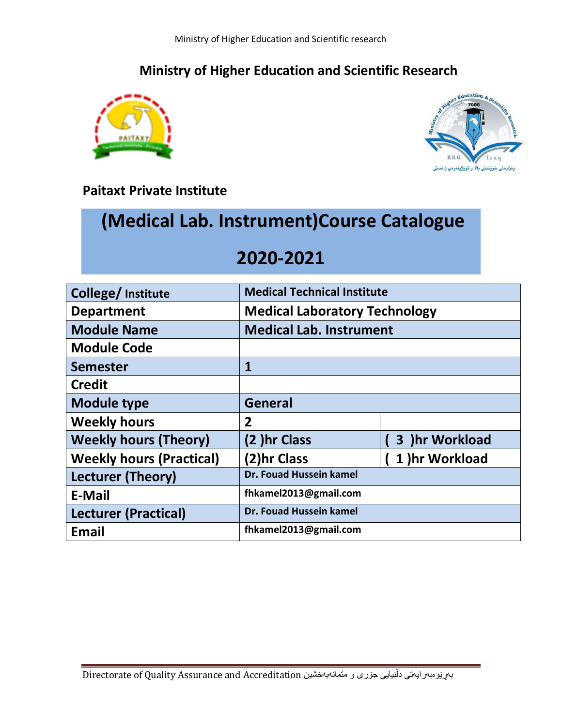## **Ministry of Higher Education and Scientific Research**





### **Paitaxt Private Institute**

# **(Medical Lab. Instrument)Course Catalogue**

# **2020-2021**

| College/ Institute              | <b>Medical Technical Institute</b>   |                |  |
|---------------------------------|--------------------------------------|----------------|--|
| <b>Department</b>               | <b>Medical Laboratory Technology</b> |                |  |
| <b>Module Name</b>              | <b>Medical Lab. Instrument</b>       |                |  |
| <b>Module Code</b>              |                                      |                |  |
| <b>Semester</b>                 | $\mathbf{1}$                         |                |  |
| <b>Credit</b>                   |                                      |                |  |
| <b>Module type</b>              | <b>General</b>                       |                |  |
| <b>Weekly hours</b>             | 2                                    |                |  |
| <b>Weekly hours (Theory)</b>    | (2) hr Class                         | 3 )hr Workload |  |
| <b>Weekly hours (Practical)</b> | (2)hr Class                          | 1) hr Workload |  |
| <b>Lecturer (Theory)</b>        | Dr. Fouad Hussein kamel              |                |  |
| <b>E-Mail</b>                   | fhkamel2013@gmail.com                |                |  |
| <b>Lecturer (Practical)</b>     | Dr. Fouad Hussein kamel              |                |  |
| <b>Email</b>                    | fhkamel2013@gmail.com                |                |  |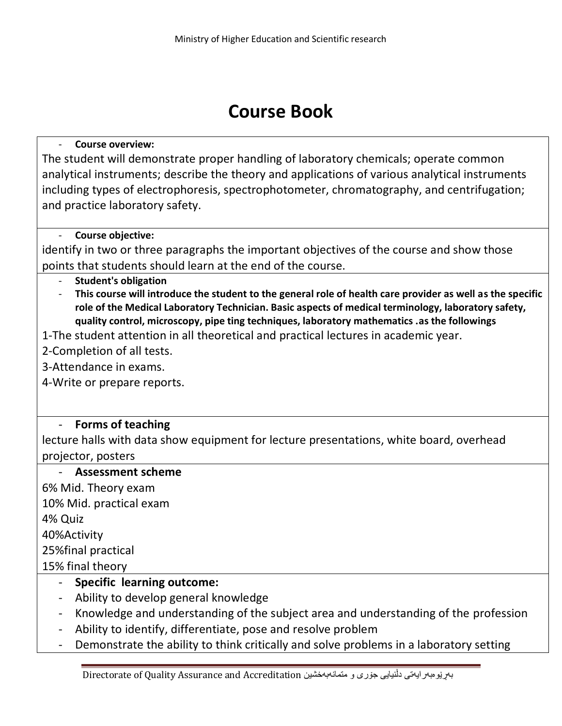# **Course Book**

#### - **Course overview:**

The student will demonstrate proper handling of laboratory chemicals; operate common analytical instruments; describe the theory and applications of various analytical instruments including types of electrophoresis, spectrophotometer, chromatography, and centrifugation; and practice laboratory safety.

#### - **Course objective:**

identify in two or three paragraphs the important objectives of the course and show those points that students should learn at the end of the course.

- **Student's obligation**
- **This course will introduce the student to the general role of health care provider as well as the specific role of the Medical Laboratory Technician. Basic aspects of medical terminology, laboratory safety, quality control, microscopy, pipe ting techniques, laboratory mathematics .as the followings**
- 1-The student attention in all theoretical and practical lectures in academic year.
- 2-Completion of all tests.
- 3-Attendance in exams.
- 4-Write or prepare reports.

### - **Forms of teaching**

lecture halls with data show equipment for lecture presentations, white board, overhead projector, posters

#### - **Assessment scheme**

6% Mid. Theory exam 10% Mid. practical exam 4% Quiz 40%Activity 25%final practical 15% final theory

- **Specific learning outcome:**
- Ability to develop general knowledge
- Knowledge and understanding of the subject area and understanding of the profession
- Ability to identify, differentiate, pose and resolve problem
- Demonstrate the ability to think critically and solve problems in a laboratory setting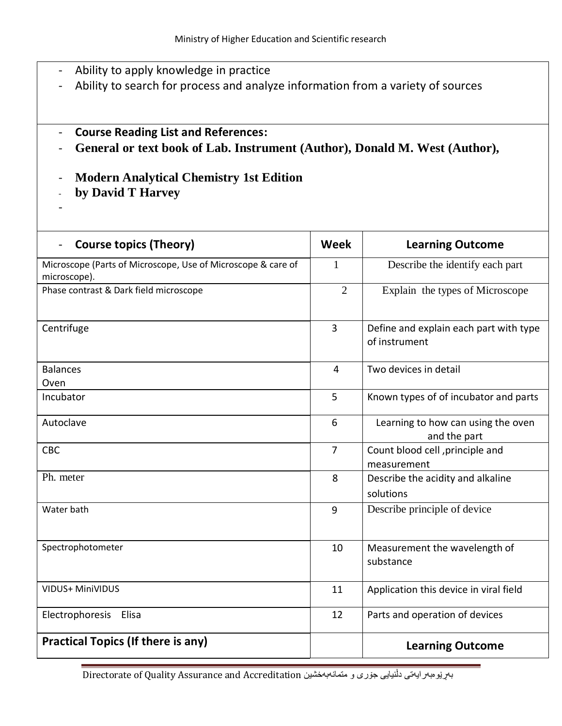- Ability to apply knowledge in practice
- Ability to search for process and analyze information from a variety of sources
- **Course Reading List and References:**
- **General or text book of Lab. Instrument (Author), [Donald M. West](https://www.amazon.com/s/ref=dp_byline_sr_book_2?ie=UTF8&field-author=Donald+M.+West&text=Donald+M.+West&sort=relevancerank&search-alias=books) (Author),**
- **Modern Analytical Chemistry 1st Edition**
- **by [David T Harvey](https://www.amazon.com/s/ref=dp_byline_sr_book_1?ie=UTF8&field-author=David+T+Harvey&text=David+T+Harvey&sort=relevancerank&search-alias=books)**
- -

| <b>Course topics (Theory)</b>                                                | <b>Week</b>    | <b>Learning Outcome</b>                                 |
|------------------------------------------------------------------------------|----------------|---------------------------------------------------------|
| Microscope (Parts of Microscope, Use of Microscope & care of<br>microscope). | 1              | Describe the identify each part                         |
| Phase contrast & Dark field microscope                                       | $\overline{2}$ | Explain the types of Microscope                         |
| Centrifuge                                                                   | $\overline{3}$ | Define and explain each part with type<br>of instrument |
| <b>Balances</b><br>Oven                                                      | $\overline{4}$ | Two devices in detail                                   |
| Incubator                                                                    | 5              | Known types of of incubator and parts                   |
| Autoclave                                                                    | 6              | Learning to how can using the oven<br>and the part      |
| <b>CBC</b>                                                                   | $\overline{7}$ | Count blood cell , principle and<br>measurement         |
| Ph. meter                                                                    | 8              | Describe the acidity and alkaline<br>solutions          |
| Water bath                                                                   | 9              | Describe principle of device                            |
| Spectrophotometer                                                            | 10             | Measurement the wavelength of<br>substance              |
| <b>VIDUS+ MiniVIDUS</b>                                                      | 11             | Application this device in viral field                  |
| Electrophoresis Elisa                                                        | 12             | Parts and operation of devices                          |
| <b>Practical Topics (If there is any)</b>                                    |                | <b>Learning Outcome</b>                                 |

Directorate of Quality Assurance and Accreditation متریزی و متمانهبهخشین Directorate of Quality Assurance and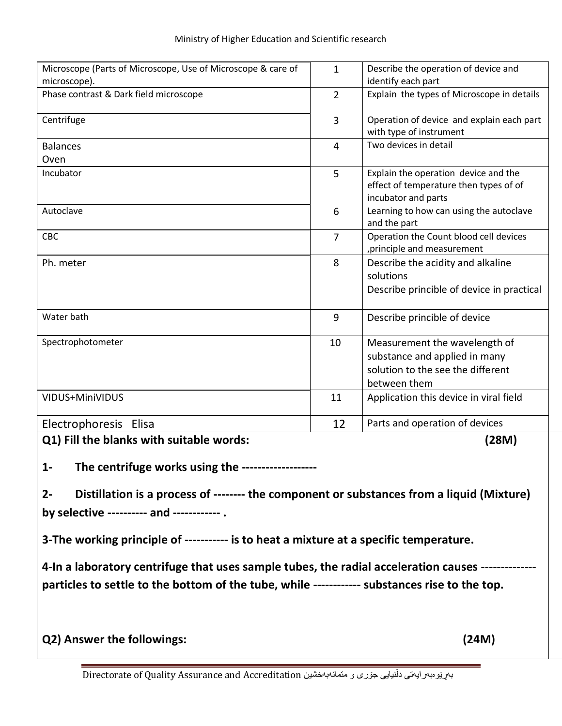| Microscope (Parts of Microscope, Use of Microscope & care of                                      | $\mathbf{1}$   | Describe the operation of device and                                                                                |  |  |
|---------------------------------------------------------------------------------------------------|----------------|---------------------------------------------------------------------------------------------------------------------|--|--|
| microscope).                                                                                      |                | identify each part                                                                                                  |  |  |
| Phase contrast & Dark field microscope                                                            | $\overline{2}$ | Explain the types of Microscope in details                                                                          |  |  |
| Centrifuge                                                                                        | $\overline{3}$ | Operation of device and explain each part<br>with type of instrument                                                |  |  |
| <b>Balances</b>                                                                                   | 4              | Two devices in detail                                                                                               |  |  |
| Oven                                                                                              |                |                                                                                                                     |  |  |
| Incubator                                                                                         | 5              | Explain the operation device and the<br>effect of temperature then types of of<br>incubator and parts               |  |  |
| Autoclave                                                                                         | 6              | Learning to how can using the autoclave<br>and the part                                                             |  |  |
| <b>CBC</b>                                                                                        | $\overline{7}$ | Operation the Count blood cell devices<br>, principle and measurement                                               |  |  |
| Ph. meter                                                                                         | 8              | Describe the acidity and alkaline<br>solutions<br>Describe princible of device in practical                         |  |  |
| Water bath                                                                                        | 9              | Describe princible of device                                                                                        |  |  |
| Spectrophotometer                                                                                 | 10             | Measurement the wavelength of<br>substance and applied in many<br>solution to the see the different<br>between them |  |  |
| VIDUS+MiniVIDUS                                                                                   | 11             | Application this device in viral field                                                                              |  |  |
| Electrophoresis Elisa                                                                             | 12             | Parts and operation of devices                                                                                      |  |  |
| Q1) Fill the blanks with suitable words:<br>(28M)                                                 |                |                                                                                                                     |  |  |
| The centrifuge works using the -----------<br>$1-$                                                |                |                                                                                                                     |  |  |
| Distillation is a process of -------- the component or substances from a liquid (Mixture)<br>$2-$ |                |                                                                                                                     |  |  |
| by selective ---------- and ------------ .                                                        |                |                                                                                                                     |  |  |
|                                                                                                   |                |                                                                                                                     |  |  |
| 3-The working principle of ----------- is to heat a mixture at a specific temperature.            |                |                                                                                                                     |  |  |

**4-In a laboratory centrifuge that uses sample tubes, the radial acceleration causes ------------- particles to settle to the bottom of the tube, while ------------ substances rise to the top.**

**Q2) Answer the followings: (24M)** 

Directorate of Quality Assurance and Accreditation متریو به متمان بوری و متمان به متمانوبه خشین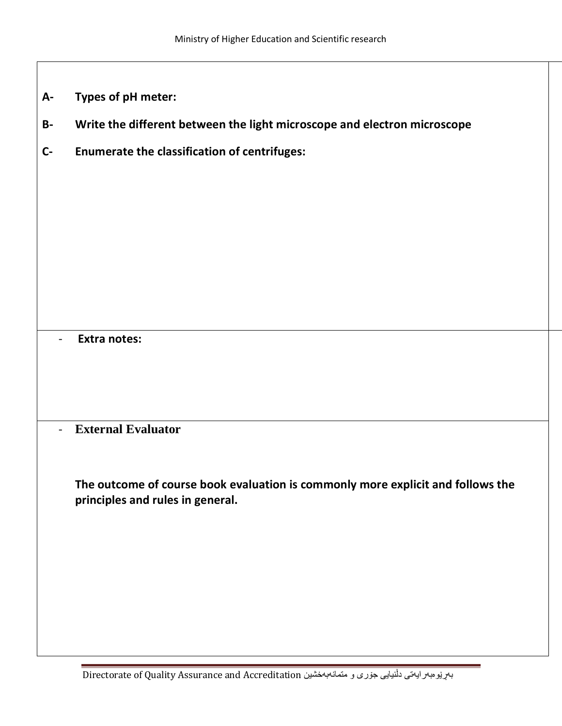- **A- Types of pH meter:**
- **B- Write the different between the light microscope and electron microscope**
- **C- Enumerate the classification of centrifuges:**

- **Extra notes:**

- **External Evaluator**

**The outcome of course book evaluation is commonly more explicit and follows the principles and rules in general.**